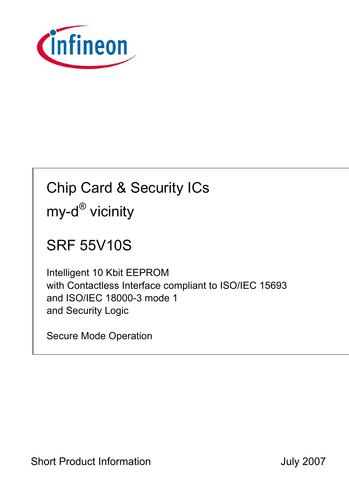

# Chip Card & Security ICs my-d<sup>®</sup> vicinity

## SRF 55V10S

Intelligent 10 Kbit EEPROM with Contactless Interface compliant to ISO/IEC 15693 and ISO/IEC 18000-3 mode 1 and Security Logic

Secure Mode Operation

Short Product Information **Short Product Information July 2007**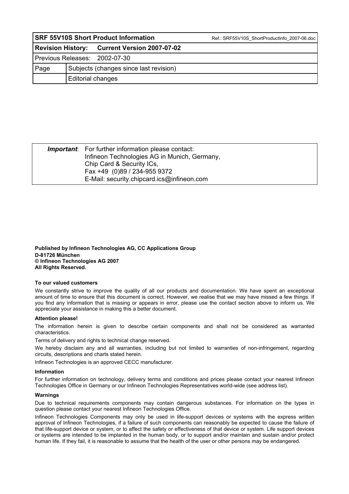| <b>SRF 55V10S Short Product Information</b> |                                        |                                              | Ref.: SRF55V10S ShortProductInfo 2007-06.doc |  |  |
|---------------------------------------------|----------------------------------------|----------------------------------------------|----------------------------------------------|--|--|
|                                             |                                        | Revision History: Current Version 2007-07-02 |                                              |  |  |
| Previous Releases: 2002-07-30               |                                        |                                              |                                              |  |  |
| Page                                        | Subjects (changes since last revision) |                                              |                                              |  |  |
|                                             | Editorial changes                      |                                              |                                              |  |  |

| <b>Important:</b> For further information please contact: |  |
|-----------------------------------------------------------|--|
| Infineon Technologies AG in Munich, Germany,              |  |
| Chip Card & Security ICs,                                 |  |
| Fax +49 (0)89 / 234-955 9372                              |  |
| E-Mail: security.chipcard.ics@infineon.com                |  |

**Published by Infineon Technologies AG, CC Applications Group D-81726 München © Infineon Technologies AG 2007 All Rights Reserved.** 

#### **To our valued customers**

We constantly strive to improve the quality of all our products and documentation. We have spent an exceptional amount of time to ensure that this document is correct. However, we realise that we may have missed a few things. If you find any information that is missing or appears in error, please use the contact section above to inform us. We appreciate your assistance in making this a better document.

#### **Attention please!**

The information herein is given to describe certain components and shall not be considered as warranted characteristics.

Terms of delivery and rights to technical change reserved.

We hereby disclaim any and all warranties, including but not limited to warranties of non-infringement, regarding circuits, descriptions and charts stated herein.

Infineon Technologies is an approved CECC manufacturer.

#### **Information**

For further information on technology, delivery terms and conditions and prices please contact your nearest Infineon Technologies Office in Germany or our Infineon Technologies Representatives world-wide (see address list).

#### **Warnings**

Due to technical requirements components may contain dangerous substances. For information on the types in question please contact your nearest Infineon Technologies Office.

Infineon Technologies Components may only be used in life-support devices or systems with the express written approval of Infineon Technologies, if a failure of such components can reasonably be expected to cause the failure of that life-support device or system, or to affect the safety or effectiveness of that device or system. Life support devices or systems are intended to be implanted in the human body, or to support and/or maintain and sustain and/or protect human life. If they fail, it is reasonable to assume that the health of the user or other persons may be endangered.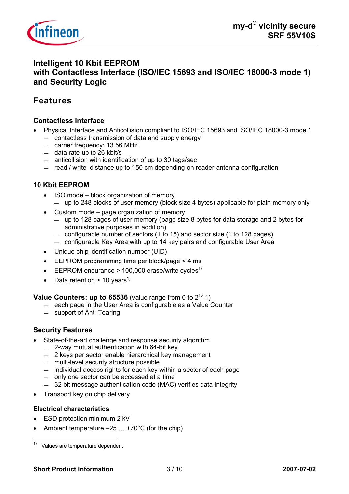

## **Intelligent 10 Kbit EEPROM with Contactless Interface (ISO/IEC 15693 and ISO/IEC 18000-3 mode 1) and Security Logic**

## **Features**

#### **Contactless Interface**

- Physical Interface and Anticollision compliant to ISO/IEC 15693 and ISO/IEC 18000-3 mode 1 — contactless transmission of data and supply energy
	- carrier frequency: 13.56 MHz
	- data rate up to 26 kbit/s
	- anticollision with identification of up to 30 tags/sec
	- read / write distance up to 150 cm depending on reader antenna configuration

#### **10 Kbit EEPROM**

- ISO mode block organization of memory — up to 248 blocks of user memory (block size 4 bytes) applicable for plain memory only
- Custom mode page organization of memory
	- up to 128 pages of user memory (page size 8 bytes for data storage and 2 bytes for administrative purposes in addition)
	- configurable number of sectors (1 to 15) and sector size (1 to 128 pages)
	- configurable Key Area with up to 14 key pairs and configurable User Area
- Unique chip identification number (UID)
- EEPROM programming time per block/page < 4 ms
- **•** EEPROM endurance > 100,000 erase/write cycles<sup>1)</sup>
- Data retention > 10 years<sup>1)</sup>

**Value Counters: up to**  $65536$  **(value range from 0 to**  $2^{16}$ **-1)** 

- each page in the User Area is configurable as a Value Counter
- support of Anti-Tearing

#### **Security Features**

- State-of-the-art challenge and response security algorithm
	- 2-way mutual authentication with 64-bit key
	- 2 keys per sector enable hierarchical key management
	- multi-level security structure possible
	- individual access rights for each key within a sector of each page
	- only one sector can be accessed at a time
	- 32 bit message authentication code (MAC) verifies data integrity
- Transport key on chip delivery

#### **Electrical characteristics**

- ESD protection minimum 2 kV
- Ambient temperature  $-25$  ...  $+70^{\circ}$ C (for the chip)

 $1)$  Values are temperature dependent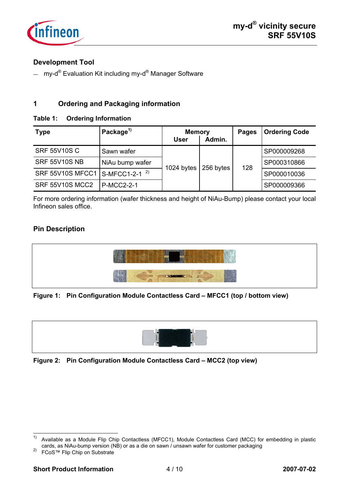

#### **Development Tool**

— my-d<sup>®</sup> Evaluation Kit including my-d<sup>®</sup> Manager Software

#### **1 Ordering and Packaging information**

#### **Table 1: Ordering Information**

| <b>Type</b>                                | Package <sup>1)</sup> | <b>Memory</b><br><b>User</b> | Admin.    | <b>Pages</b> | <b>Ordering Code</b> |
|--------------------------------------------|-----------------------|------------------------------|-----------|--------------|----------------------|
| <b>SRF 55V10S C</b>                        | Sawn wafer            | 1024 bytes                   | 256 bytes | 128          | SP000009268          |
| <b>SRF 55V10S NB</b>                       | NiAu bump wafer       |                              |           |              | SP000310866          |
| SRF 55V10S MFCC1 S-MFCC1-2-1 <sup>2)</sup> |                       |                              |           |              | SP000010036          |
| <b>SRF 55V10S MCC2</b>                     | <b>P-MCC2-2-1</b>     |                              |           |              | SP000009366          |

For more ordering information (wafer thickness and height of NiAu-Bump) please contact your local Infineon sales office.

#### **Pin Description**



#### **Figure 1: Pin Configuration Module Contactless Card – MFCC1 (top / bottom view)**



**Figure 2: Pin Configuration Module Contactless Card – MCC2 (top view)** 

 $1)$ Available as a Module Flip Chip Contactless (MFCC1), Module Contactless Card (MCC) for embedding in plastic cards, as NiAu-bump version (NB) or as a die on sawn / unsawn wafer for customer packaging 2) FCoS™ Flip Chip on Substrate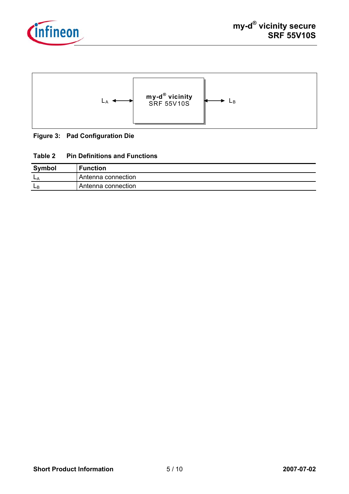



#### **Figure 3: Pad Configuration Die**

#### **Table 2 Pin Definitions and Functions**

| <b>Symbol</b> | <b>Function</b>    |
|---------------|--------------------|
| <b>L</b>      | Antenna connection |
| ЩP            | Antenna connection |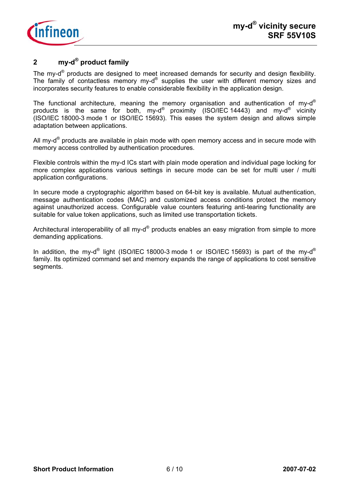

## **2 my-d® product family**

The my-d<sup>®</sup> products are designed to meet increased demands for security and design flexibility. The family of contactless memory my-d® supplies the user with different memory sizes and incorporates security features to enable considerable flexibility in the application design.

The functional architecture, meaning the memory organisation and authentication of my-d<sup>®</sup> products is the same for both, my-d® proximity (ISO/IEC 14443) and my-d® vicinity (ISO/IEC 18000-3 mode 1 or ISO/IEC 15693). This eases the system design and allows simple adaptation between applications.

All my- $d^{\circ}$  products are available in plain mode with open memory access and in secure mode with memory access controlled by authentication procedures.

Flexible controls within the my-d ICs start with plain mode operation and individual page locking for more complex applications various settings in secure mode can be set for multi user / multi application configurations.

In secure mode a cryptographic algorithm based on 64-bit key is available. Mutual authentication, message authentication codes (MAC) and customized access conditions protect the memory against unauthorized access. Configurable value counters featuring anti-tearing functionality are suitable for value token applications, such as limited use transportation tickets.

Architectural interoperability of all my- $d^{\circledast}$  products enables an easy migration from simple to more demanding applications.

In addition, the my-d<sup>®</sup> light (ISO/IEC 18000-3 mode 1 or ISO/IEC 15693) is part of the my-d<sup>®</sup> family. Its optimized command set and memory expands the range of applications to cost sensitive segments.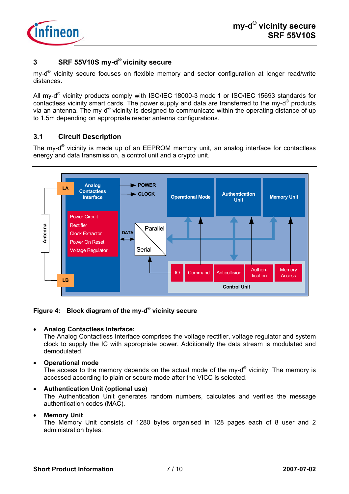

#### **3 SRF 55V10S my-d® vicinity secure**

my- $d^{\circledR}$  vicinity secure focuses on flexible memory and sector configuration at longer read/write distances.

All my-d® vicinity products comply with ISO/IEC 18000-3 mode 1 or ISO/IEC 15693 standards for contactless vicinity smart cards. The power supply and data are transferred to the my-d® products via an antenna. The my-d® vicinity is designed to communicate within the operating distance of up to 1.5m depending on appropriate reader antenna configurations.

### **3.1 Circuit Description**

The my-d® vicinity is made up of an EEPROM memory unit, an analog interface for contactless energy and data transmission, a control unit and a crypto unit.



**Figure 4: Block diagram of the my-d® vicinity secure** 

#### • **Analog Contactless Interface:**

The Analog Contactless Interface comprises the voltage rectifier, voltage regulator and system clock to supply the IC with appropriate power. Additionally the data stream is modulated and demodulated.

• **Operational mode** 

The access to the memory depends on the actual mode of the my- $d^{\circledR}$  vicinity. The memory is accessed according to plain or secure mode after the VICC is selected.

#### • **Authentication Unit (optional use)**

The Authentication Unit generates random numbers, calculates and verifies the message authentication codes (MAC).

#### • **Memory Unit**

The Memory Unit consists of 1280 bytes organised in 128 pages each of 8 user and 2 administration bytes.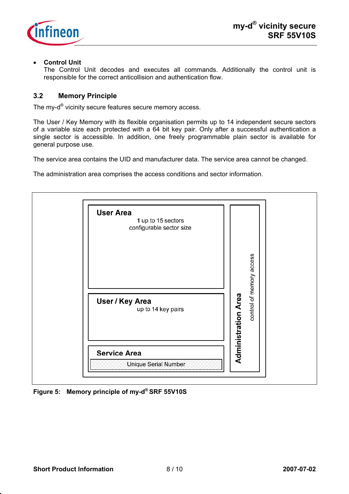

#### • **Control Unit**

The Control Unit decodes and executes all commands. Additionally the control unit is responsible for the correct anticollision and authentication flow.

#### **3.2 Memory Principle**

The my-d<sup>®</sup> vicinity secure features secure memory access.

The User / Key Memory with its flexible organisation permits up to 14 independent secure sectors of a variable size each protected with a 64 bit key pair. Only after a successful authentication a single sector is accessible. In addition, one freely programmable plain sector is available for general purpose use.

The service area contains the UID and manufacturer data. The service area cannot be changed.

The administration area comprises the access conditions and sector information.



**Figure 5: Memory principle of my-d® SRF 55V10S**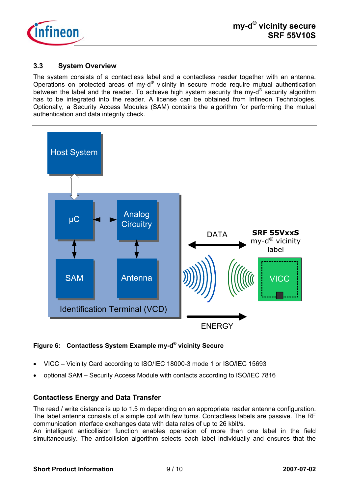

#### **3.3 System Overview**

The system consists of a contactless label and a contactless reader together with an antenna. Operations on protected areas of my-d® vicinity in secure mode require mutual authentication between the label and the reader. To achieve high system security the my-d<sup>®</sup> security algorithm has to be integrated into the reader. A license can be obtained from Infineon Technologies. Optionally, a Security Access Modules (SAM) contains the algorithm for performing the mutual authentication and data integrity check.



**Figure 6: Contactless System Example my-d® vicinity Secure** 

- VICC Vicinity Card according to ISO/IEC 18000-3 mode 1 or ISO/IEC 15693
- optional SAM Security Access Module with contacts according to ISO/IEC 7816

#### **Contactless Energy and Data Transfer**

The read / write distance is up to 1.5 m depending on an appropriate reader antenna configuration. The label antenna consists of a simple coil with few turns. Contactless labels are passive. The RF communication interface exchanges data with data rates of up to 26 kbit/s.

An intelligent anticollision function enables operation of more than one label in the field simultaneously. The anticollision algorithm selects each label individually and ensures that the